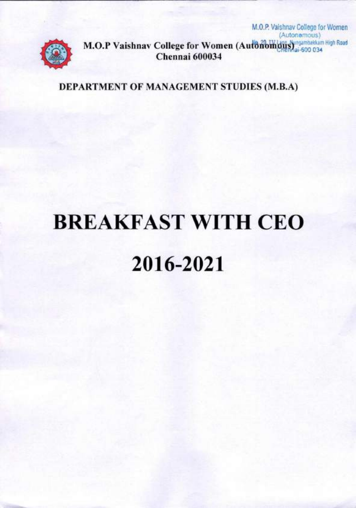

(Autonomous) **M.O.P Vaishnav College for Women (Autonomous)** 600 034 **Chennai 600034** 

M.O.P. Vaislinav College for Women

**DEPARTMENT OF MANAGEMENT STUDIES (M.B.A)** 

# **BREAKFAST WITH CEO 2016-2021**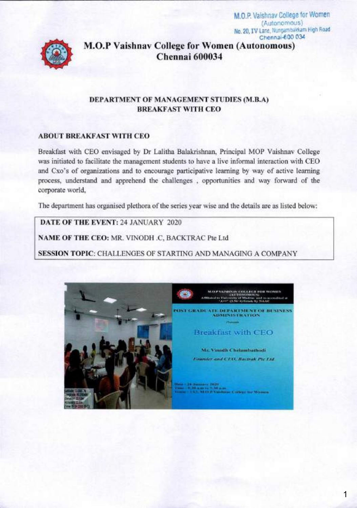M.O.P. Vaishnav College for Women (Autonomous) No. 20, IV Lane, Nungambakkam High Road Chennai-600 034



**M.O.P Vaishnav College for Women (Autonomous)** Chennai 600034

#### DEPARTMENT OF MANAGEMENT STUDIES (M.B.A) **BREAKFAST WITH CEO**

#### **ABOUT BREAKFAST WITH CEO**

Breakfast with CEO envisaged by Dr Lalitha Balakrishnan, Principal MOP Vaishnav College was initiated to facilitate the management students to have a live informal interaction with CEO and Cxo's of organizations and to encourage participative learning by way of active learning process, understand and apprehend the challenges, opportunities and way forward of the corporate world.

The department has organised plethora of the series year wise and the details are as listed below:

DATE OF THE EVENT: 24 JANUARY 2020

NAME OF THE CEO: MR. VINODH .C. BACKTRAC Pte Ltd

**SESSION TOPIC: CHALLENGES OF STARTING AND MANAGING A COMPANY** 

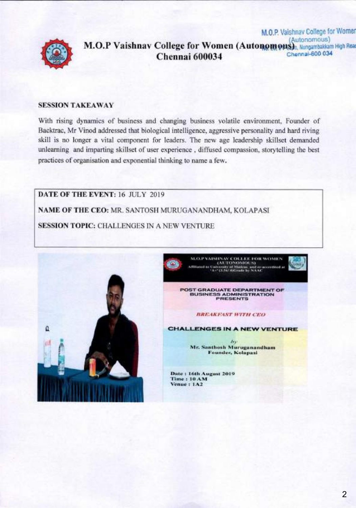

#### M.O.P. Vaishnav College for Women (Autonomous) **M.O.P Vaishnav College for Women (Autonomous)**<br>Chennel 600024 **Chennai 600034 Chenn60O 034**

#### **SESSION TAKEA WAY**

With rising dynamics of business and changing business volatile environment, Founder of Backtrac, Mr Vinod addressed that biological intelligence, aggressive personality and hard riving skill is no longer a vital component for leaders. The new age leadership skillset demanded unlearning and imparting skillset of user experience , diffused compassion, storytelling the best practices of organisation and exponential thinking to name a few.

**DATE OF THE EVENT:** 16 JULY 2019 **NAME OF THE CEO:** MR. SANTOSH MURUGANANDHAM, KOLAPASI **SESSION TOPIC: CHALLENGES IN A NEW VENTURE** 



**M.O.P VAISHNAV COLLEE FOR WOMEN ; (AUTONOMOUS) ALO.P VAISHNAV COLLEE FOR WOMEN (AUTONOMOUS)**<br> **Attitude to University of Madrin, and re-accredited of** 

POST GRADUATE DEPARTMENT OF BUSINESS ADMINISTRATION PRESENTS

#### *!iRE.IA FAST WiT/I CEO*

**CHALLENGES IN A NEW VENTURE** 

 $E_Y$ **Mr. Santhosh Muruganandham Founder. Kolapasi** 

**Date: 16th August 2019 Time: lOAM Venue: 1A2**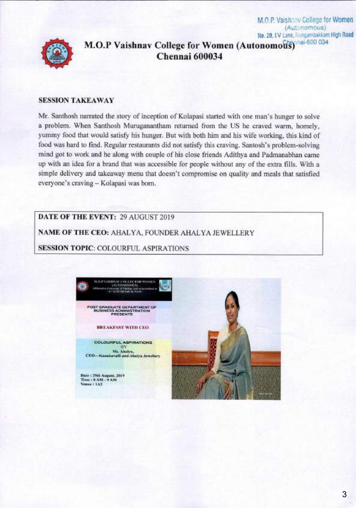No. 20, IV Lane, Trungambakkam High Road **M.O.P Vaishnav College for Women (Autonomous)** al-800 034 **Chennai 600034** 

M.O.P. Vaishaav College for Women (Aut:nomous)

#### **SESSION TAKEAWAY**

Mr. Santhosh narrated the story of inception of Kolapasi started with one man's hunger to solve a problem. When Santhosh Muruganantham returned from the US he craved warm, homely, yummy food that would satisfy his hunger. But with both him and his wife working, this kind of food was hard to find. Regular restaurants did not satisfy this craving. Santosh's problem-solving mind got to work and he along with couple of his close friends Adithya and Padmanabhan came up with an idea for a brand that was accessible for people without any of the extra fills. With a simple delivery and takeaway menu that doesn't compromise on quality and meals that satisfied everyone's craving — Kolapasi was born.

**DATE OF THE EVENT:** 29 AUGUST 2019

**NAME OF THE CEO:** AHALYA, FOUNDER AHALYA JEWELLERY

**SESSION TOPIC:** COLOURFUL ASPIRATIONS

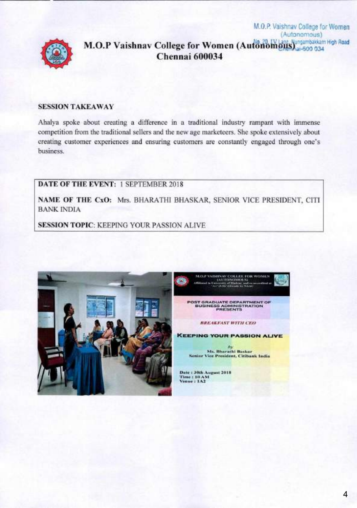

## (Autonomous) M.O.P Vaishnav College for Women (Autonomous) 314 500 034 Chennai 600034

M.O.P. Vaishnav College for Women

### **SESSION TAKEAWAY**

Ahalya spoke about creating a difference in a traditional industry rampant with immense competition from the traditional sellers and the new age marketeers. She spoke extensively about creating customer experiences and ensuring customers are constantly engaged through one's business.

**DATE OF THE EVENT: 1 SEPTEMBER 2018** 

NAME OF THE CxO: Mrs. BHARATHI BHASKAR, SENIOR VICE PRESIDENT, CITI **BANK INDIA** 

**SESSION TOPIC: KEEPING YOUR PASSION ALIVE** 





Date: 30th August 2018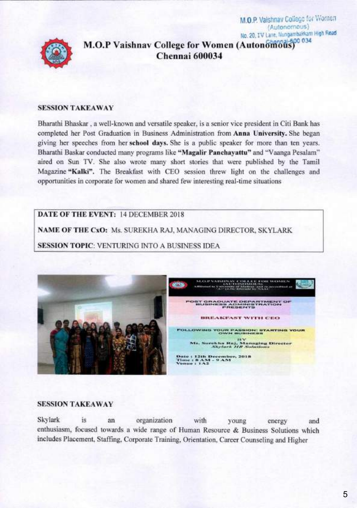No. 20, IV Lane, Nungambakkani High Road M.O.P Vaishnav College for Women (Autonomous) Chennai 600034

M.O.P. Vaishnav College for Women (Autonomous)

#### **SESSION TAKEAWAY**

Bharathi Bhaskar, a well-known and versatile speaker, is a senior vice president in Citi Bank has completed her Post Graduation in Business Administration from **Anna University**. She began giving her speeches from her school days. She is a public speaker for more than ten years. Bharathi Baskar conducted many programs like "Magalir Panchayattu" and "Vaanga Pesalam" aired on Sun TV. She also wrote many short stories that were published by the Tamil Magazine "Kalki". The Breakfast with CEO session threw light on the challenges and opportunities in corporate for women and shared few interesting real-time situations

DATE OF THE EVENT: 14 DECEMBER 2018

NAME OF THE CxO: Ms. SUREKHA RAJ, MANAGING DIRECTOR, SKYLARK

**SESSION TOPIC: VENTURING INTO A BUSINESS IDEA** 



#### **SESSION TAKEAWAY**

Skylark is an organization with young energy and enthusiasm, focused towards a wide range of Human Resource & Business Solutions which includes Placement, Staffing, Corporate Training, Orientation, Career Counseling and Higher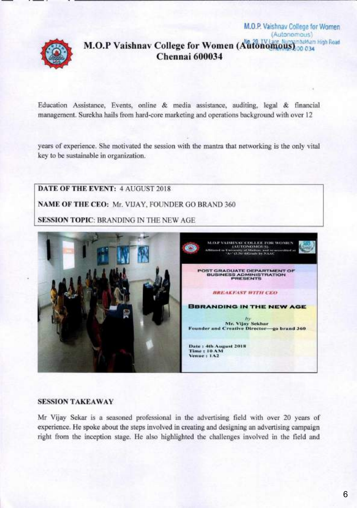(Autonomous) ambakkam High Road M.O.P Vaishnav College for Women (Autonomous) 00 034 Chennai 600034

M.O.P. Vaishnav College for Women

Education Assistance, Events, online & media assistance, auditing, legal & financial management. Surekha hails from hard-core marketing and operations background with over 12

years of experience. She motivated the session with the mantra that networking is the only vital key to be sustainable in organization.

DATE OF THE EVENT: 4 AUGUST 2018 NAME OF THE CEO: Mr. VIJAY, FOUNDER GO BRAND 360 **SESSION TOPIC: BRANDING IN THE NEW AGE** VAISHNAV COLLER FOR WOME<br>10 UNITONOMOLIS)<br>10 UNITONOMOLISE REPORTED TO CONTRACT NUCK IP **DEPARTMENT OF BUSINESS ADMINISTRATION BREAKFAST WITH CEO BURANDING IN THE NEW AGE** bv Mr. Vijay Sekhar Founder and Creative Director-go brand 360 Date: 4th August 2018 Time: 10 AM Venue: 1A2

#### **SESSION TAKEAWAY**

Mr Vijay Sekar is a seasoned professional in the advertising field with over 20 years of experience. He spoke about the steps involved in creating and designing an advertising campaign right from the inception stage. He also highlighted the challenges involved in the field and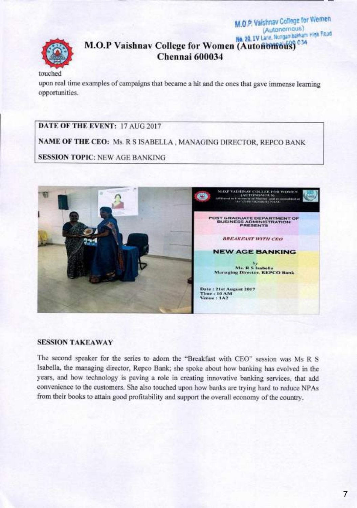# No. 29, IV Lane, Nongambakkam High Read M.O.P Vaishnav College for Women (Autonomous) 034 Chennai 600034

M.O.P. Vaishnav College for Wemen (Autonomous)

touched

upon real time examples of campaigns that became a hit and the ones that gave immense learning opportunities.

DATE OF THE EVENT: 17 AUG 2017

NAME OF THE CEO: Ms. R S ISABELLA, MANAGING DIRECTOR, REPCO BANK

**SESSION TOPIC: NEW AGE BANKING** 



#### **SESSION TAKEAWAY**

The second speaker for the series to adorn the "Breakfast with CEO" session was Ms R S Isabella, the managing director, Repco Bank; she spoke about how banking has evolved in the years, and how technology is paving a role in creating innovative banking services, that add convenience to the customers. She also touched upon how banks are trying hard to reduce NPAs from their books to attain good profitability and support the overall economy of the country.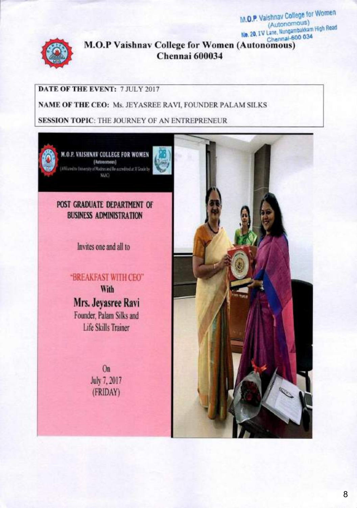

**M.O.P Vaishnav College for Women (Autonomous) No. 20, IV Lane, Nungambakkam High Road** Chennal-600 034 **Chennai 600034**

**M.O.P.** Vaishnav College for Women (Autonomous)

## **DATE OF THE EVENT:** 7 JULY 2017

**NAME OF THE CEO:** Ms. JEYASREE RAVI, FOUNDER PALAM SILKS

**SESSION TOPIC:** THE JOURNEY OF AN ENTREPRENEUR